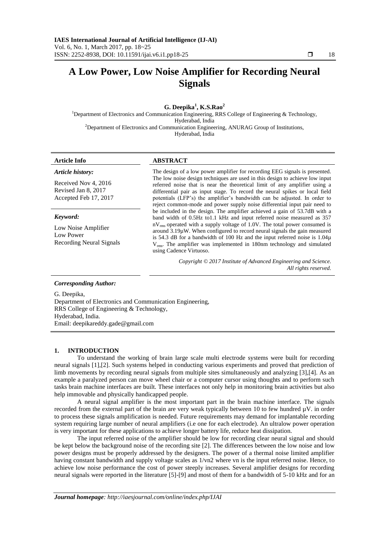# **A Low Power, Low Noise Amplifier for Recording Neural Signals**

## **G. Deepika<sup>1</sup> , K.S.Rao<sup>2</sup>**

<sup>1</sup>Department of Electronics and Communication Engineering, RRS College of Engineering  $\&$  Technology, Hyderabad, India  $2D$ epartment of Electronics and Communication Engineering, ANURAG Group of Institutions, Hyderabad, India

#### **Article Info ABSTRACT**

| Article history:                                                         | The design of a low power amplifier for recording EEG signals is presented.                                                                                                                                                                                                                                                                                                                                                                                                                                         |
|--------------------------------------------------------------------------|---------------------------------------------------------------------------------------------------------------------------------------------------------------------------------------------------------------------------------------------------------------------------------------------------------------------------------------------------------------------------------------------------------------------------------------------------------------------------------------------------------------------|
| Received Nov 4, 2016<br>Revised Jan 8, 2017<br>Accepted Feb 17, 2017     | The low noise design techniques are used in this design to achieve low input<br>referred noise that is near the theoretical limit of any amplifier using a<br>differential pair as input stage. To record the neural spikes or local field<br>potentials (LFP's) the amplifier's bandwidth can be adjusted. In order to<br>reject common-mode and power supply noise differential input pair need to                                                                                                                |
| Keyword:<br>Low Noise Amplifier<br>Low Power<br>Recording Neural Signals | be included in the design. The amplifier achieved a gain of 53.7dB with a<br>band width of 0.5Hz to1.1 kHz and input referred noise measured as 357<br>$nV_{rms}$ operated with a supply voltage of 1.0V. The total power consumed is<br>around $3.19\mu$ W. When configured to record neural signals the gain measured<br>is 54.3 dB for a bandwidth of 100 Hz and the input referred noise is $1.04\mu$<br>$V_{rms}$ . The amplifier was implemented in 180nm technology and simulated<br>using Cadence Virtuoso. |
|                                                                          | Copyright © 2017 Institute of Advanced Engineering and Science.<br>All rights reserved.                                                                                                                                                                                                                                                                                                                                                                                                                             |

#### *Corresponding Author:*

G. Deepika, Department of Electronics and Communication Engineering, RRS College of Engineering & Technology, Hyderabad, India. Email: deepikareddy.gade@gmail.com

#### **1. INTRODUCTION**

To understand the working of brain large scale multi electrode systems were built for recording neural signals [1],[2]. Such systems helped in conducting various experiments and proved that prediction of limb movements by recording neural signals from multiple sites simultaneously and analyzing [3],[4]. As an example a paralyzed person can move wheel chair or a computer cursor using thoughts and to perform such tasks brain machine interfaces are built. These interfaces not only help in monitoring brain activities but also help immovable and physically handicapped people.

A neural signal amplifier is the most important part in the brain machine interface. The signals recorded from the external part of the brain are very weak typically between 10 to few hundred  $\mu$ V. in order to process these signals amplification is needed. Future requirements may demand for implantable recording system requiring large number of neural amplifiers (i.e one for each electrode). An ultralow power operation is very important for these applications to achieve longer battery life, reduce heat dissipation.

The input referred noise of the amplifier should be low for recording clear neural signal and should be kept below the background noise of the recording site [2]. The differences between the low noise and low power designs must be properly addressed by the designers. The power of a thermal noise limited amplifier having constant bandwidth and supply voltage scales as 1/vn2 where vn is the input referred noise. Hence, to achieve low noise performance the cost of power steeply increases. Several amplifier designs for recording neural signals were reported in the literature [5]-[9] and most of them for a bandwidth of 5-10 kHz and for an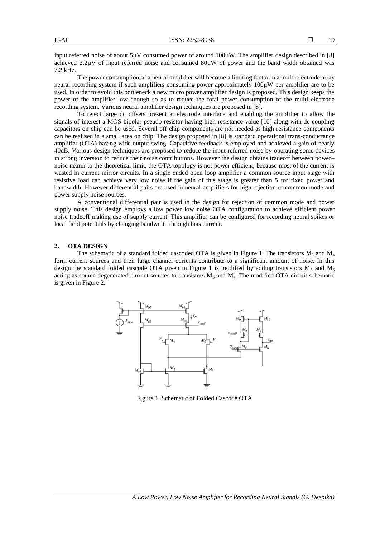input referred noise of about 5µV consumed power of around 100µW. The amplifier design described in [8] achieved  $2.2\mu$ V of input referred noise and consumed  $80\mu$ W of power and the band width obtained was 7.2 kHz.

The power consumption of a neural amplifier will become a limiting factor in a multi electrode array neural recording system if such amplifiers consuming power approximately 100µW per amplifier are to be used. In order to avoid this bottleneck a new micro power amplifier design is proposed. This design keeps the power of the amplifier low enough so as to reduce the total power consumption of the multi electrode recording system. Various neural amplifier design techniques are proposed in [8].

To reject large dc offsets present at electrode interface and enabling the amplifier to allow the signals of interest a MOS bipolar pseudo resistor having high resistance value [10] along with dc coupling capacitors on chip can be used. Several off chip components are not needed as high resistance components can be realized in a small area on chip. The design proposed in [8] is standard operational trans-conductance amplifier (OTA) having wide output swing. Capacitive feedback is employed and achieved a gain of nearly 40dB. Various design techniques are proposed to reduce the input referred noise by operating some devices in strong inversion to reduce their noise contributions. However the design obtains tradeoff between power– noise nearer to the theoretical limit, the OTA topology is not power efficient, because most of the current is wasted in current mirror circuits. In a single ended open loop amplifier a common source input stage with resistive load can achieve very low noise if the gain of this stage is greater than 5 for fixed power and bandwidth. However differential pairs are used in neural amplifiers for high rejection of common mode and power supply noise sources.

A conventional differential pair is used in the design for rejection of common mode and power supply noise. This design employs a low power low noise OTA configuration to achieve efficient power noise tradeoff making use of supply current. This amplifier can be configured for recording neural spikes or local field potentials by changing bandwidth through bias current.

#### **2. OTA DESIGN**

The schematic of a standard folded cascoded OTA is given in Figure 1. The transistors  $M_3$  and  $M_4$ form current sources and their large channel currents contribute to a significant amount of noise. In this design the standard folded cascode OTA given in Figure 1 is modified by adding transistors  $M_5$  and  $M_6$ acting as source degenerated current sources to transistors  $M_3$  and  $M_4$ . The modified OTA circuit schematic is given in Figure 2.



Figure 1. Schematic of Folded Cascode OTA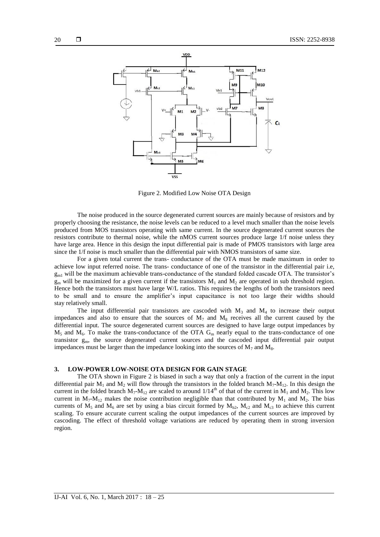

Figure 2. Modified Low Noise OTA Design

The noise produced in the source degenerated current sources are mainly because of resistors and by properly choosing the resistance, the noise levels can be reduced to a level much smaller than the noise levels produced from MOS transistors operating with same current. In the source degenerated current sources the resistors contribute to thermal noise, while the nMOS current sources produce large 1/f noise unless they have large area. Hence in this design the input differential pair is made of PMOS transistors with large area since the 1/f noise is much smaller than the differential pair with NMOS transistors of same size.

For a given total current the trans- conductance of the OTA must be made maximum in order to achieve low input referred noise. The trans- conductance of one of the transistor in the differential pair i.e,  $g<sub>m1</sub>$  will be the maximum achievable trans-conductance of the standard folded cascade OTA. The transistor's  $g_m$  will be maximized for a given current if the transistors  $M_1$  and  $M_2$  are operated in sub threshold region. Hence both the transistors must have large W/L ratios. This requires the lengths of both the transistors need to be small and to ensure the amplifier's input capacitance is not too large their widths should stay relatively small.

The input differential pair transistors are cascoded with  $M_3$  and  $M_4$  to increase their output impedances and also to ensure that the sources of  $M_7$  and  $M_8$  receives all the current caused by the differential input. The source degenerated current sources are designed to have large output impedances by  $M_5$  and  $M_6$ . To make the trans-conductance of the OTA G<sub>m</sub> nearly equal to the trans-conductance of one transistor  $g_m$ , the source degenerated current sources and the cascoded input differential pair output impedances must be larger than the impedance looking into the sources of  $M_7$  and  $M_8$ .

#### **3. LOW-POWER LOW-NOISE OTA DESIGN FOR GAIN STAGE**

The OTA shown in Figure 2 is biased in such a way that only a fraction of the current in the input differential pair  $M_1$  and  $M_2$  will flow through the transistors in the folded branch  $M_7$ - $M_{12}$ . In this design the current in the folded branch  $M_7-M_{12}$  are scaled to around  $1/14^{th}$  of that of the current in  $M_1$  and  $M_2$ . This low current in  $M_7 - M_{12}$  makes the noise contribution negligible than that contributed by  $M_1$  and  $M_2$ . The bias currents of  $M_5$  and  $M_6$  are set by using a bias circuit formed by  $M_{b2}$ ,  $M_{c2}$  and  $M_{c3}$  to achieve this current scaling. To ensure accurate current scaling the output impedances of the current sources are improved by cascoding. The effect of threshold voltage variations are reduced by operating them in strong inversion region.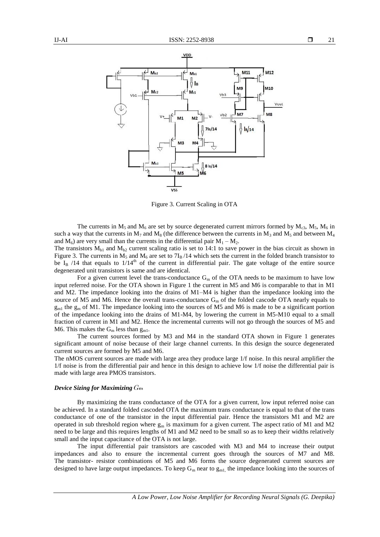

Figure 3. Current Scaling in OTA

The currents in  $M_5$  and  $M_6$  are set by source degenerated current mirrors formed by  $M_{c3}$ ,  $M_5$ ,  $M_6$  in such a way that the currents in  $M_7$  and  $M_8$  (the difference between the currents in  $M_3$  and  $M_5$  and between  $M_4$ and  $M_6$ ) are very small than the currents in the differential pair  $M_1 - M_2$ .

The transistors  $M_{b1}$  and  $M_{b2}$  current scaling ratio is set to 14:1 to save power in the bias circuit as shown in Figure 3. The currents in  $M_5$  and  $M_6$  are set to  $7I_B/14$  which sets the current in the folded branch transistor to be  $I_B$  /14 that equals to  $1/14<sup>th</sup>$  of the current in differential pair. The gate voltage of the entire source degenerated unit transistors is same and are identical.

For a given current level the trans-conductance  $G_m$  of the OTA needs to be maximum to have low input referred noise. For the OTA shown in Figure 1 the current in M5 and M6 is comparable to that in M1 and M2. The impedance looking into the drains of M1–M4 is higher than the impedance looking into the source of M5 and M6. Hence the overall trans-conductance  $G_m$  of the folded cascode OTA nearly equals to  $g_{ml}$  the  $g_m$  of M1. The impedance looking into the sources of M5 and M6 is made to be a significant portion of the impedance looking into the drains of M1-M4, by lowering the current in M5-M10 equal to a small fraction of current in M1 and M2. Hence the incremental currents will not go through the sources of M5 and M6. This makes the  $G_m$  less than  $g_{m1}$ .

The current sources formed by M3 and M4 in the standard OTA shown in Figure 1 generates significant amount of noise because of their large channel currents. In this design the source degenerated current sources are formed by M5 and M6.

The nMOS current sources are made with large area they produce large 1/f noise. In this neural amplifier the 1/f noise is from the differential pair and hence in this design to achieve low 1/f noise the differential pair is made with large area PMOS transistors.

#### *Device Sizing for Maximizing*

By maximizing the trans conductance of the OTA for a given current, low input referred noise can be achieved. In a standard folded cascoded OTA the maximum trans conductance is equal to that of the trans conductance of one of the transistor in the input differential pair. Hence the transistors M1 and M2 are operated in sub threshold region where  $g_m$  is maximum for a given current. The aspect ratio of M1 and M2 need to be large and this requires lengths of M1 and M2 need to be small so as to keep their widths relatively small and the input capacitance of the OTA is not large.

The input differential pair transistors are cascoded with M3 and M4 to increase their output impedances and also to ensure the incremental current goes through the sources of M7 and M8. The transistor- resistor combinations of M5 and M6 forms the source degenerated current sources are designed to have large output impedances. To keep  $G_m$  near to  $g_{m1}$ , the impedance looking into the sources of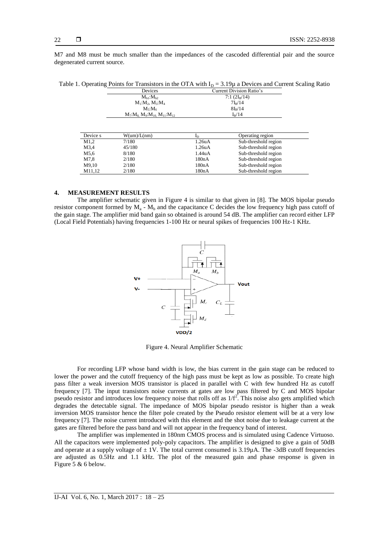M7 and M8 must be much smaller than the impedances of the cascoded differential pair and the source degenerated current source.

Table 1. Operating Points for Transistors in the OTA with  $I<sub>D</sub> = 3.19\mu$  a Devices and Current Scaling Ratio

|                 | Devices                                       | <b>Current Division Ratio's</b> |                      |  |
|-----------------|-----------------------------------------------|---------------------------------|----------------------|--|
| $M_{h1}:M_{h2}$ |                                               | $7:1(2I_R/14)$                  |                      |  |
|                 | $M_1:M_2, M_3:M_4$                            |                                 | 7I <sub>B</sub> /14  |  |
|                 | $M_5$ : $M_6$                                 |                                 | $8I_B/14$            |  |
|                 | $M_7: M_8$ , $M_9: M_{10}$ , $M_{11}: M_{12}$ |                                 | $I_B/14$             |  |
| Device s        | $W(\text{um})/L(\text{nm})$                   | $I_{\rm D}$                     | Operating region     |  |
| M1.2            | 7/180                                         | 1.26 <sub>u</sub> A             | Sub-threshold region |  |
| M3.4            | 45/180                                        | 1.26 <sub>u</sub> A             | Sub-threshold region |  |
| M5.6            | 8/180                                         | 1.44uA                          | Sub-threshold region |  |
| M7.8            | 2/180                                         | 180nA                           | Sub-threshold region |  |
| M9.10           | 2/180                                         | 180nA                           | Sub-threshold region |  |

M11,12 2/180 2/180 180nA Sub-threshold region

#### **4. MEASUREMENT RESULTS**

The amplifier schematic given in Figure 4 is similar to that given in [8]. The MOS bipolar pseudo resistor component formed by  $M_a$  -  $M_b$  and the capacitance C decides the low frequency high pass cutoff of the gain stage. The amplifier mid band gain so obtained is around 54 dB. The amplifier can record either LFP (Local Field Potentials) having frequencies 1-100 Hz or neural spikes of frequencies 100 Hz-1 KHz.



Figure 4. Neural Amplifier Schematic

For recording LFP whose band width is low, the bias current in the gain stage can be reduced to lower the power and the cutoff frequency of the high pass must be kept as low as possible. To create high pass filter a weak inversion MOS transistor is placed in parallel with C with few hundred Hz as cutoff frequency [7]. The input transistors noise currents at gates are low pass filtered by C and MOS bipolar pseudo resistor and introduces low frequency noise that rolls off as  $1/f^2$ . This noise also gets amplified which degrades the detectable signal. The impedance of MOS bipolar pseudo resistor is higher than a weak inversion MOS transistor hence the filter pole created by the Pseudo resistor element will be at a very low frequency [7]. The noise current introduced with this element and the shot noise due to leakage current at the gates are filtered before the pass band and will not appear in the frequency band of interest.

The amplifier was implemented in 180nm CMOS process and is simulated using Cadence Virtuoso. All the capacitors were implemented poly-poly capacitors. The amplifier is designed to give a gain of 50dB and operate at a supply voltage of  $\pm$  1V. The total current consumed is 3.19 $\mu$ A. The -3dB cutoff frequencies are adjusted as 0.5Hz and 1.1 kHz. The plot of the measured gain and phase response is given in Figure 5 & 6 below.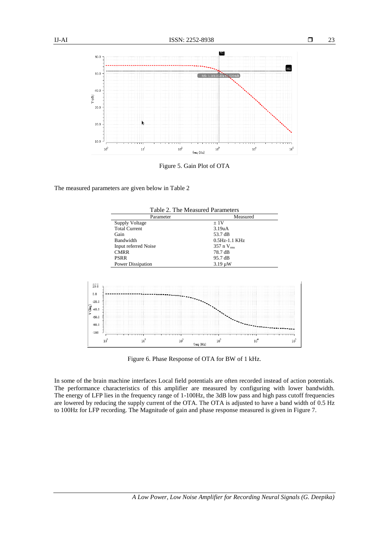

Figure 5. Gain Plot of OTA

The measured parameters are given below in Table 2



Figure 6. Phase Response of OTA for BW of 1 kHz.

In some of the brain machine interfaces Local field potentials are often recorded instead of action potentials. The performance characteristics of this amplifier are measured by configuring with lower bandwidth. The energy of LFP lies in the frequency range of 1-100Hz, the 3dB low pass and high pass cutoff frequencies are lowered by reducing the supply current of the OTA. The OTA is adjusted to have a band width of 0.5 Hz to 100Hz for LFP recording. The Magnitude of gain and phase response measured is given in Figure 7.

23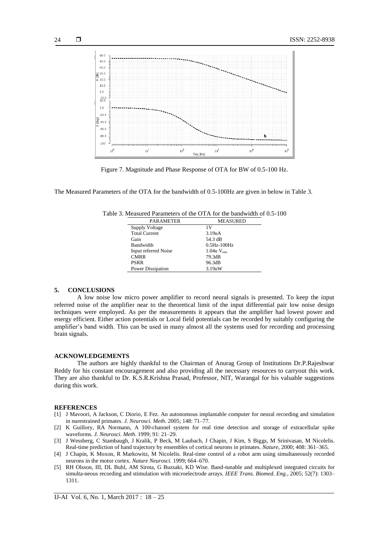

Figure 7. Magnitude and Phase Response of OTA for BW of 0.5-100 Hz.

The Measured Parameters of the OTA for the bandwidth of 0.5-100Hz are given in below in Table 3.

| <b>PARAMETER</b>     | <b>MEASURED</b>          |  |
|----------------------|--------------------------|--|
| Supply Voltage       | 1 V                      |  |
| <b>Total Current</b> | 3.19 <sub>u</sub> A      |  |
| Gain                 | 54.3 dB                  |  |
| <b>Bandwidth</b>     | $0.5Hz-100Hz$            |  |
| Input referred Noise | $1.04u$ V <sub>rms</sub> |  |
| <b>CMRR</b>          | 79.3dB                   |  |
| <b>PSRR</b>          | 96.3dB                   |  |
| Power Dissipation    | 3.19uW                   |  |

Table 3. Measured Parameters of the OTA for the bandwidth of 0.5-100

### **5. CONCLUSIONS**

A low noise low micro power amplifier to record neural signals is presented. To keep the input referred noise of the amplifier near to the theoretical limit of the input differential pair low noise design techniques were employed. As per the measurements it appears that the amplifier had lowest power and energy efficient. Either action potentials or Local field potentials can be recorded by suitably configuring the amplifier's band width. This can be used in many almost all the systems used for recording and processing brain signals.

#### **ACKNOWLEDGEMENTS**

The authors are highly thankful to the Chairman of Anurag Group of Institutions Dr.P.Rajeshwar Reddy for his constant encouragement and also providing all the necessary resources to carryout this work. They are also thankful to Dr. K.S.R.Krishna Prasad, Professor, NIT, Warangal for his valuable suggestions during this work.

#### **REFERENCES**

- [1] J Mavoori, A Jackson, C Diorio, E Fez. An autonomous implantable computer for neural recording and simulation in nurestrained primates. *J. Neurosci. Meth.* 2005; 148: 71–77.
- [2] K Guillory, RA Normann, A 100-channel system for real time detection and storage of extracellular spike waveforms. *J. Neurosci. Meth*. 1999; 91: 21–29.
- [3] J Wessberg, C Stambaugh, J Kralik, P Beck, M Laubach, J Chapin, J Kim, S Biggs, M Srinivasan, M Nicolelis. Real-time prediction of hand trajectory by ensembles of cortical neurons in primates. *Nature*, 2000; 408: 361–365.
- [4] J Chapin, K Moxon, R Markowitz, M Nicolelis. Real-time control of a robot arm using simultaneously recorded neurons in the motor cortex. *Nature Neurosci.* 1999; 664–670.
- [5] RH Olsson, III, DL Buhl, AM Sirota, G Buzsaki, KD Wise. Band-tunable and multiplexed integrated circuits for simulta-neous recording and stimulation with microelectrode arrays. *IEEE Trans. Biomed. Eng.*, 2005; 52(7): 1303– 1311.